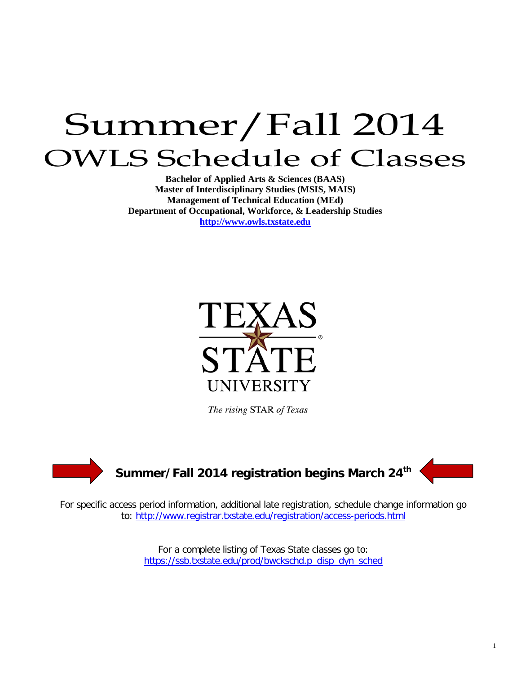# Summer/Fall 2014 OWLS Schedule of Classes

**Bachelor of Applied Arts & Sciences (BAAS) Master of Interdisciplinary Studies (MSIS, MAIS) Management of Technical Education (MEd) Department of Occupational, Workforce, & Leadership Studies [http://www.owls.txstate.edu](http://www.owls.txstate.edu/)**



The rising STAR of Texas



For specific access period information, additional late registration, schedule change information go to:<http://www.registrar.txstate.edu/registration/access-periods.html>

> For a complete listing of Texas State classes go to: [https://ssb.txstate.edu/prod/bwckschd.p\\_disp\\_dyn\\_sched](https://ssb.txstate.edu/prod/bwckschd.p_disp_dyn_sched)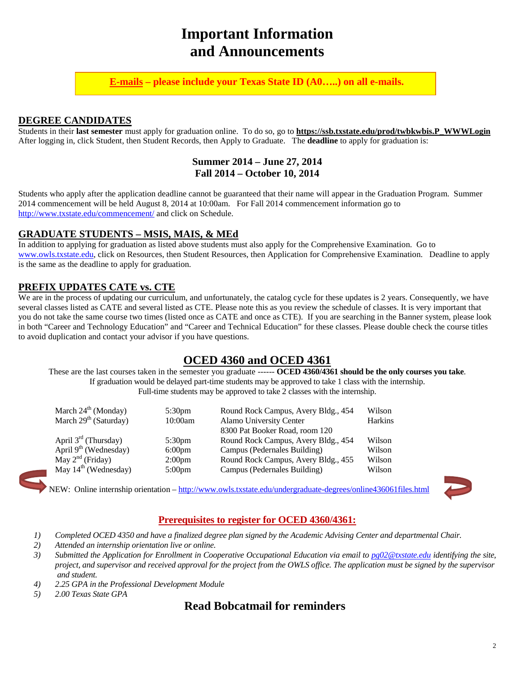# **Important Information and Announcements**

**E-mails – please include your Texas State ID (A0…..) on all e-mails.**

#### **DEGREE CANDIDATES**

Students in their **last semester** must apply for graduation online. To do so, go to **[https://ssb.txstate.edu/prod/twbkwbis.P\\_WWWLogin](https://ssb.txstate.edu/prod/twbkwbis.P_WWWLogin)** After logging in, click Student, then Student Records, then Apply to Graduate. The **deadline** to apply for graduation is:

#### **Summer 2014 – June 27, 2014 Fall 2014 – October 10, 2014**

Students who apply after the application deadline cannot be guaranteed that their name will appear in the Graduation Program. Summer 2014 commencement will be held August 8, 2014 at 10:00am. For Fall 2014 commencement information go to <http://www.txstate.edu/commencement/> and click on Schedule.

#### **GRADUATE STUDENTS – MSIS, MAIS, & MEd**

In addition to applying for graduation as listed above students must also apply for the Comprehensive Examination. Go to [www.owls.txstate.edu,](http://www.owls.txstate.edu/) click on Resources, then Student Resources, then Application for Comprehensive Examination. Deadline to apply is the same as the deadline to apply for graduation.

#### **PREFIX UPDATES CATE vs. CTE**

We are in the process of updating our curriculum, and unfortunately, the catalog cycle for these updates is 2 years. Consequently, we have several classes listed as CATE and several listed as CTE. Please note this as you review the schedule of classes. It is very important that you do not take the same course two times (listed once as CATE and once as CTE). If you are searching in the Banner system, please look in both "Career and Technology Education" and "Career and Technical Education" for these classes. Please double check the course titles to avoid duplication and contact your advisor if you have questions.

### **OCED 4360 and OCED 4361**

These are the last courses taken in the semester you graduate ------ **OCED 4360/4361 should be the only courses you take**. If graduation would be delayed part-time students may be approved to take 1 class with the internship. Full-time students may be approved to take 2 classes with the internship.

| March $24^{\text{th}}$ (Monday)   | 5:30 <sub>pm</sub> | Round Rock Campus, Avery Bldg., 454 | Wilson  |
|-----------------------------------|--------------------|-------------------------------------|---------|
| March 29 <sup>th</sup> (Saturday) | 10:00am            | Alamo University Center             | Harkins |
|                                   |                    | 8300 Pat Booker Road, room 120      |         |
| April $3^{rd}$ (Thursday)         | 5:30 <sub>pm</sub> | Round Rock Campus, Avery Bldg., 454 | Wilson  |
| April $9th$ (Wednesday)           | 6:00 <sub>pm</sub> | Campus (Pedernales Building)        | Wilson  |
| May $2nd$ (Friday)                | 2:00 <sub>pm</sub> | Round Rock Campus, Avery Bldg., 455 | Wilson  |
| May $14^{\text{th}}$ (Wednesday)  | $5:00 \text{pm}$   | Campus (Pedernales Building)        | Wilson  |

NEW: Online internship orientation – <http://www.owls.txstate.edu/undergraduate-degrees/online436061files.html>



#### **Prerequisites to register for OCED 4360/4361:**

- *1) Completed OCED 4350 and have a finalized degree plan signed by the Academic Advising Center and departmental Chair.*
- *2) Attended an internship orientation live or online.*
- *3) Submitted the Application for Enrollment in Cooperative Occupational Education via email to [pg02@txstate.edu](mailto:pg02@txstate.edu) identifying the site, project, and supervisor and received approval for the project from the OWLS office. The application must be signed by the supervisor and student.*
- *4) 2.25 GPA in the Professional Development Module*
- *5) 2.00 Texas State GPA*

### **Read Bobcatmail for reminders**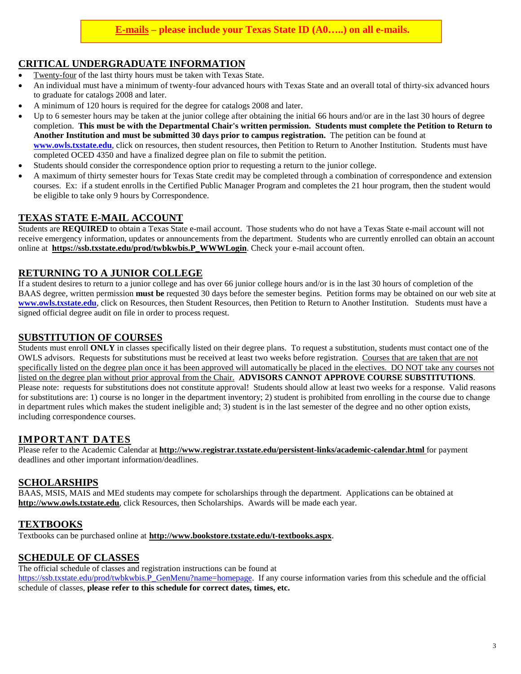#### **CRITICAL UNDERGRADUATE INFORMATION**

- Twenty-four of the last thirty hours must be taken with Texas State.
- An individual must have a minimum of twenty-four advanced hours with Texas State and an overall total of thirty-six advanced hours to graduate for catalogs 2008 and later.
- A minimum of 120 hours is required for the degree for catalogs 2008 and later.
- Up to 6 semester hours may be taken at the junior college after obtaining the initial 66 hours and/or are in the last 30 hours of degree completion. **This must be with the Departmental Chair's written permission. Students must complete the Petition to Return to Another Institution and must be submitted 30 days prior to campus registration.** The petition can be found at **[www.owls.txstate.edu](http://www.owls.txstate.edu/)**, click on resources, then student resources, then Petition to Return to Another Institution. Students must have completed OCED 4350 and have a finalized degree plan on file to submit the petition.
- Students should consider the correspondence option prior to requesting a return to the junior college.
- A maximum of thirty semester hours for Texas State credit may be completed through a combination of correspondence and extension courses. Ex: if a student enrolls in the Certified Public Manager Program and completes the 21 hour program, then the student would be eligible to take only 9 hours by Correspondence.

#### **TEXAS STATE E-MAIL ACCOUNT**

Students are **REQUIRED** to obtain a Texas State e-mail account. Those students who do not have a Texas State e-mail account will not receive emergency information, updates or announcements from the department. Students who are currently enrolled can obtain an account online at **[https://ssb.txstate.edu/prod/twbkwbis.P\\_WWWLogin](https://ssb.txstate.edu/prod/twbkwbis.P_WWWLogin)**. Check your e-mail account often.

#### **RETURNING TO A JUNIOR COLLEGE**

If a student desires to return to a junior college and has over 66 junior college hours and/or is in the last 30 hours of completion of the BAAS degree, written permission **must be** requested 30 days before the semester begins. Petition forms may be obtained on our web site at **[www.owls.txstate.edu](http://www.owls.txstate.edu/)**, click on Resources, then Student Resources, then Petition to Return to Another Institution. Students must have a signed official degree audit on file in order to process request.

#### **SUBSTITUTION OF COURSES**

Students must enroll **ONLY** in classes specifically listed on their degree plans. To request a substitution, students must contact one of the OWLS advisors. Requests for substitutions must be received at least two weeks before registration. Courses that are taken that are not specifically listed on the degree plan once it has been approved will automatically be placed in the electives. DO NOT take any courses not listed on the degree plan without prior approval from the Chair. **ADVISORS CANNOT APPROVE COURSE SUBSTITUTIONS**. Please note: requests for substitutions does not constitute approval! Students should allow at least two weeks for a response. Valid reasons for substitutions are: 1) course is no longer in the department inventory; 2) student is prohibited from enrolling in the course due to change in department rules which makes the student ineligible and; 3) student is in the last semester of the degree and no other option exists, including correspondence courses.

#### **IMPORTANT DATES**

Please refer to the Academic Calendar at **<http://www.registrar.txstate.edu/persistent-links/academic-calendar.html>** for payment deadlines and other important information/deadlines.

#### **SCHOLARSHIPS**

BAAS, MSIS, MAIS and MEd students may compete for scholarships through the department. Applications can be obtained at **[http://www.owls.txstate.edu](http://www.oced.txstate.edu/)**, click Resources, then Scholarships. Awards will be made each year.

#### **TEXTBOOKS**

Textbooks can be purchased online at **<http://www.bookstore.txstate.edu/t-textbooks.aspx>**.

#### **SCHEDULE OF CLASSES**

The official schedule of classes and registration instructions can be found at [https://ssb.txstate.edu/prod/twbkwbis.P\\_GenMenu?name=homepage.](https://ssb.txstate.edu/prod/twbkwbis.P_GenMenu?name=homepage) If any course information varies from this schedule and the official schedule of classes, **please refer to this schedule for correct dates, times, etc.**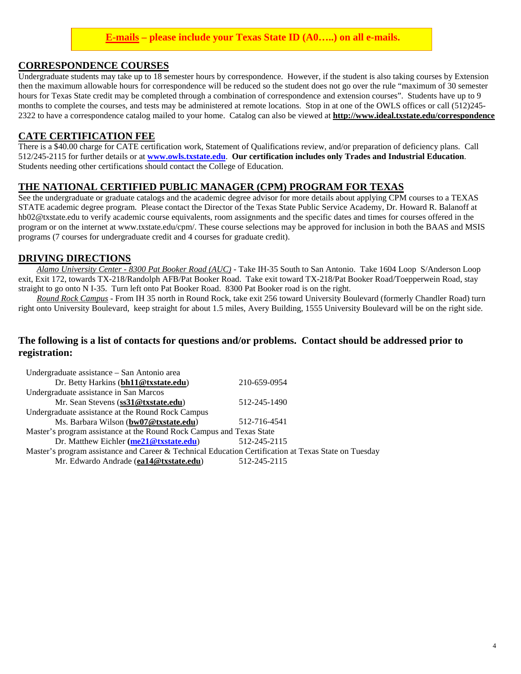#### **E-mails – please include your Texas State ID (A0…..) on all e-mails.**

#### **CORRESPONDENCE COURSES**

Undergraduate students may take up to 18 semester hours by correspondence. However, if the student is also taking courses by Extension then the maximum allowable hours for correspondence will be reduced so the student does not go over the rule "maximum of 30 semester hours for Texas State credit may be completed through a combination of correspondence and extension courses". Students have up to 9 months to complete the courses, and tests may be administered at remote locations. Stop in at one of the OWLS offices or call (512)245- 2322 to have a correspondence catalog mailed to your home. Catalog can also be viewed at **<http://www.ideal.txstate.edu/correspondence>**

#### **CATE CERTIFICATION FEE**

There is a \$40.00 charge for CATE certification work, Statement of Qualifications review, and/or preparation of deficiency plans. Call 512/245-2115 for further details or at **[www.owls.txstate.edu](http://www.owls.txstate.edu/)**. **Our certification includes only Trades and Industrial Education**. Students needing other certifications should contact the College of Education.

#### **THE NATIONAL CERTIFIED PUBLIC MANAGER (CPM) PROGRAM FOR TEXAS**

See the undergraduate or graduate catalogs and the academic degree advisor for more details about applying CPM courses to a TEXAS STATE academic degree program. Please contact the Director of the Texas State Public Service Academy, Dr. Howard R. Balanoff at hb02@txstate.edu to verify academic course equivalents, room assignments and the specific dates and times for courses offered in the program or on the internet at www.txstate.edu/cpm/. These course selections may be approved for inclusion in both the BAAS and MSIS programs (7 courses for undergraduate credit and 4 courses for graduate credit).

#### **DRIVING DIRECTIONS**

*Alamo University Center - 8300 Pat Booker Road (AUC)* - Take IH-35 South to San Antonio. Take 1604 Loop S/Anderson Loop exit, Exit 172, towards TX-218/Randolph AFB/Pat Booker Road. Take exit toward TX-218/Pat Booker Road/Toepperwein Road, stay straight to go onto N I-35. Turn left onto Pat Booker Road. 8300 Pat Booker road is on the right.

*Round Rock Campus* - From IH 35 north in Round Rock, take exit 256 toward University Boulevard (formerly Chandler Road) turn right onto University Boulevard, keep straight for about 1.5 miles, Avery Building, 1555 University Boulevard will be on the right side.

#### **The following is a list of contacts for questions and/or problems. Contact should be addressed prior to registration:**

| Undergraduate assistance – San Antonio area                                                          |              |  |
|------------------------------------------------------------------------------------------------------|--------------|--|
| Dr. Betty Harkins (bh11@txstate.edu)                                                                 | 210-659-0954 |  |
| Undergraduate assistance in San Marcos                                                               |              |  |
| Mr. Sean Stevens (ss31@txstate.edu)                                                                  | 512-245-1490 |  |
| Undergraduate assistance at the Round Rock Campus                                                    |              |  |
| Ms. Barbara Wilson (bw07@txstate.edu)                                                                | 512-716-4541 |  |
| Master's program assistance at the Round Rock Campus and Texas State                                 |              |  |
| Dr. Matthew Eichler (me21@txstate.edu)                                                               | 512-245-2115 |  |
| Master's program assistance and Career & Technical Education Certification at Texas State on Tuesday |              |  |
| Mr. Edwardo Andrade (ea14@txstate.edu)                                                               | 512-245-2115 |  |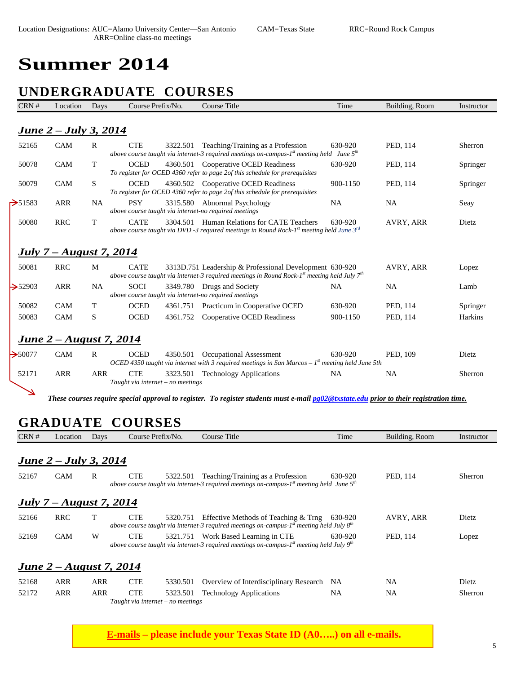# **Summer 2014**

# **UNDERGRADUATE COURSES**

| CRN #        | Location                        | Days         | Course Prefix/No.                                                    | <b>Course Title</b>                                                                                                                                          | Time      | Building, Room | Instructor |
|--------------|---------------------------------|--------------|----------------------------------------------------------------------|--------------------------------------------------------------------------------------------------------------------------------------------------------------|-----------|----------------|------------|
|              | June 2 – July 3, 2014           |              |                                                                      |                                                                                                                                                              |           |                |            |
| 52165        | CAM                             | $\mathbb{R}$ | <b>CTE</b><br>3322.501                                               | Teaching/Training as a Profession<br>above course taught via internet-3 required meetings on-campus- $Ist$ meeting held June $5th$                           | 630-920   | PED, 114       | Sherron    |
| 50078        | <b>CAM</b>                      | T            | <b>OCED</b>                                                          | 4360.501 Cooperative OCED Readiness<br>To register for OCED 4360 refer to page 2of this schedule for prerequisites                                           | 630-920   | PED, 114       | Springer   |
| 50079        | <b>CAM</b>                      | <sub>S</sub> | <b>OCED</b>                                                          | 4360.502 Cooperative OCED Readiness<br>To register for OCED 4360 refer to page 2of this schedule for prerequisites                                           | 900-1150  | PED, 114       | Springer   |
| $\geq$ 51583 | <b>ARR</b>                      | NA.          | <b>PSY</b><br>above course taught via internet-no required meetings  | 3315.580 Abnormal Psychology                                                                                                                                 | <b>NA</b> | <b>NA</b>      | Seay       |
| 50080        | <b>RRC</b>                      | T            | <b>CATE</b><br>3304.501                                              | Human Relations for CATE Teachers<br>above course taught via DVD -3 required meetings in Round Rock-1st meeting held June $3^{rd}$                           | 630-920   | AVRY, ARR      | Dietz      |
|              | <u> July 7 – August 7, 2014</u> |              |                                                                      |                                                                                                                                                              |           |                |            |
| 50081        | <b>RRC</b>                      | M            | <b>CATE</b>                                                          | 3313D.751 Leadership & Professional Development 630-920<br>above course taught via internet-3 required meetings in Round Rock-1st meeting held July $7^{th}$ |           | AVRY, ARR      | Lopez      |
| $\geq 52903$ | <b>ARR</b>                      | <b>NA</b>    | <b>SOCI</b><br>above course taught via internet-no required meetings | 3349.780 Drugs and Society                                                                                                                                   | <b>NA</b> | <b>NA</b>      | Lamb       |
| 50082        | <b>CAM</b>                      | T            | <b>OCED</b><br>4361.751                                              | Practicum in Cooperative OCED                                                                                                                                | 630-920   | PED, 114       | Springer   |
| 50083        | <b>CAM</b>                      | S            | <b>OCED</b><br>4361.752                                              | Cooperative OCED Readiness                                                                                                                                   | 900-1150  | PED, 114       | Harkins    |
|              | <u>June 2 – August 7, 2014</u>  |              |                                                                      |                                                                                                                                                              |           |                |            |
| $\geq 50077$ | <b>CAM</b>                      | $\mathbf{R}$ | <b>OCED</b><br>4350.501                                              | Occupational Assessment<br>OCED 4350 taught via internet with 3 required meetings in San Marcos – $1^{st}$ meeting held June 5th                             | 630-920   | PED, 109       | Dietz      |
| 52171        | <b>ARR</b>                      | <b>ARR</b>   | <b>CTE</b><br>3323.501<br>Taught via internet – no meetings          | <b>Technology Applications</b>                                                                                                                               | NA        | NA             | Sherron    |

*These courses require special approval to register. To register students must e-mailpg02@txstate.edu prior to their registration time.* 

### **GRADUATE COURSES**

| CRN#  | Location                       | Days       | Course Prefix/No.                                           | Course Title                                                                                                                                | Time      | Building, Room | Instructor |
|-------|--------------------------------|------------|-------------------------------------------------------------|---------------------------------------------------------------------------------------------------------------------------------------------|-----------|----------------|------------|
|       |                                |            |                                                             |                                                                                                                                             |           |                |            |
|       | <b>June 2 – July 3, 2014</b>   |            |                                                             |                                                                                                                                             |           |                |            |
| 52167 | <b>CAM</b>                     | R          | <b>CTE</b><br>5322.501                                      | Teaching/Training as a Profession<br>above course taught via internet-3 required meetings on-campus-1 <sup>st</sup> meeting held June $5th$ | 630-920   | PED, 114       | Sherron    |
|       | <i>July 7 – August 7, 2014</i> |            |                                                             |                                                                                                                                             |           |                |            |
| 52166 | <b>RRC</b>                     |            | <b>CTE</b><br>5320.751                                      | Effective Methods of Teaching & Trng<br>above course taught via internet-3 required meetings on-campus- $Ist$ meeting held July $8th$       | 630-920   | AVRY, ARR      | Dietz      |
| 52169 | <b>CAM</b>                     | W          | <b>CTE</b><br>5321.751                                      | Work Based Learning in CTE<br>above course taught via internet-3 required meetings on-campus- $Ist$ meeting held July $9th$                 | 630-920   | PED, 114       | Lopez      |
|       | <b>June 2 – August 7, 2014</b> |            |                                                             |                                                                                                                                             |           |                |            |
| 52168 | <b>ARR</b>                     | ARR        | <b>CTE</b><br>5330.501                                      | Overview of Interdisciplinary Research                                                                                                      | NA        | NA             | Dietz      |
| 52172 | ARR                            | <b>ARR</b> | <b>CTE</b><br>5323.501<br>Taught via internet – no meetings | <b>Technology Applications</b>                                                                                                              | <b>NA</b> | <b>NA</b>      | Sherron    |

**E-mails – please include your Texas State ID (A0…..) on all e-mails.**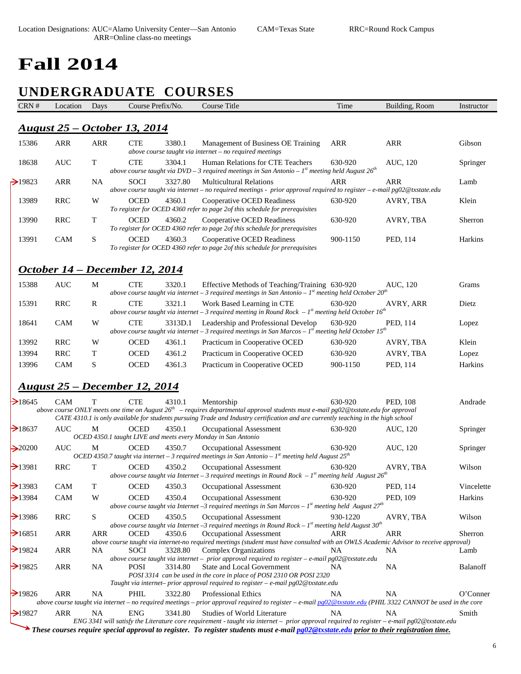# **Fall 2014**

# **UNDERGRADUATE COURSES**

| <u> August 25 – October 13, 2014</u><br>15386<br><b>ARR</b><br><b>ARR</b><br><b>CTE</b><br>3380.1<br><b>ARR</b><br><b>ARR</b><br>Management of Business OE Training<br>above course taught via internet $-$ no required meetings<br>T<br><b>CTE</b><br><b>AUC</b><br>3304.1<br>Human Relations for CTE Teachers<br>630-920<br>18638<br>AUC, 120<br>above course taught via DVD – 3 required meetings in San Antonio – $Ist$ meeting held August $26th$<br><b>SOCI</b><br>$\geq$ 19823<br><b>ARR</b><br>3327.80<br><b>Multicultural Relations</b><br><b>ARR</b><br><b>ARR</b><br>NA.<br>above course taught via internet - no required meetings - prior approval required to register - e-mail pg02@txstate.edu<br>13989<br><b>RRC</b><br><b>OCED</b><br>4360.1<br>W<br><b>Cooperative OCED Readiness</b><br>630-920<br>AVRY, TBA<br>To register for OCED 4360 refer to page 2of this schedule for prerequisites<br>13990<br><b>RRC</b><br>T<br><b>OCED</b><br>4360.2<br>Cooperative OCED Readiness<br>630-920<br>AVRY, TBA<br>To register for OCED 4360 refer to page 2of this schedule for prerequisites<br>S<br>13991<br>CAM<br><b>OCED</b><br>4360.3<br>Cooperative OCED Readiness<br>900-1150<br>PED, 114<br>To register for OCED 4360 refer to page 2of this schedule for prerequisites<br>October 14 – December 12, 2014<br><b>CTE</b><br>15388<br><b>AUC</b><br>M<br>3320.1<br>Effective Methods of Teaching/Training 630-920<br>AUC, 120<br>above course taught via internet - 3 required meetings in San Antonio - $Ist$ meeting held October 20 <sup>th</sup><br><b>CTE</b><br><b>RRC</b><br>3321.1<br>15391<br>R<br>Work Based Learning in CTE<br>630-920<br>AVRY, ARR<br>above course taught via internet - 3 required meeting in Round Rock $-1st$ meeting held October 16 <sup>th</sup><br><b>CAM</b><br>W<br><b>CTE</b><br>3313D.1<br>630-920<br>18641<br>Leadership and Professional Develop<br>PED, 114<br>above course taught via internet - 3 required meetings in San Marcos - $Ist$ meeting held October 15 <sup>th</sup><br><b>RRC</b><br>W<br>OCED<br>13992<br>4361.1<br>Practicum in Cooperative OCED<br>630-920<br>AVRY, TBA<br>13994<br><b>RRC</b><br>T<br><b>OCED</b><br>4361.2<br>Practicum in Cooperative OCED<br>630-920<br>AVRY, TBA<br>S<br>OCED<br>13996<br><b>CAM</b><br>4361.3<br>Practicum in Cooperative OCED<br>900-1150<br>PED, 114<br><u> August 25 – December 12, 2014</u><br>$\rightarrow$ 18645<br>CAM<br><b>CTE</b><br>630-920<br>PED, 108<br>Т<br>4310.1<br>Mentorship<br>above course ONLY meets one time on August $26th$ – requires departmental approval students must e-mail pg02@txstate.edu for approval<br>CATE 4310.1 is only available for students pursuing Trade and Industry certification and are currently teaching in the high school<br>$\rightarrow$ 18637<br><b>AUC</b><br>M<br><b>OCED</b><br>4350.1<br>Occupational Assessment<br>630-920<br>AUC, 120<br>OCED 4350.1 taught LIVE and meets every Monday in San Antonio<br><b>AUC</b><br><b>OCED</b><br>$\rightarrow 20200$<br>M<br>4350.7<br>Occupational Assessment<br>630-920<br>AUC, 120<br>OCED 4350.7 taught via internet - 3 required meetings in San Antonio - $1s$ meeting held August $25th$<br>$\rightarrow$ 13981<br>T<br><b>RRC</b><br><b>OCED</b><br>4350.2<br>Occupational Assessment<br>630-920<br>AVRY, TBA<br>above course taught via Internet – 3 required meetings in Round Rock – $Ist$ meeting held August $26th$<br>$\rightarrow$ 13983<br>$\mathbf T$<br>CAM<br>OCED<br>PED, 114<br>4350.3<br>630-920<br>Occupational Assessment<br>OCED<br>$\geq$ 13984<br>CAM<br>W<br>4350.4<br>630-920<br>PED, 109<br><b>Occupational Assessment</b><br>above course taught via Internet -3 required meetings in San Marcos - $Ist$ meeting held August $27th$<br>$\rightarrow$ 13986<br><b>RRC</b><br>S<br><b>OCED</b><br>4350.5<br>Occupational Assessment<br>930-1220<br>AVRY, TBA<br>above course taught via Internet -3 required meetings in Round Rock - $Ist$ meeting held August 30 <sup>th</sup><br>$\rightarrow$ 16851<br>ARR<br><b>ARR</b><br><b>OCED</b><br>4350.6<br>Occupational Assessment<br>ARR<br>ARR<br>above course taught via internet-no required meetings (student must have consulted with an OWLS Academic Advisor to receive approval)<br>$\rightarrow$ 19824<br>ARR<br>NA.<br><b>SOCI</b><br>3328.80<br><b>Complex Organizations</b><br>NA.<br>NA.<br>above course taught via internet - prior approval required to register - e-mail pg02@txstate.edu<br>$\rightarrow$ 19825<br>ARR<br><b>NA</b><br><b>State and Local Government</b><br>NA<br><b>POSI</b><br>3314.80<br>NA.<br>POSI 3314 can be used in the core in place of POSI 2310 OR POSI 2320<br>Taught via internet- prior approval required to register - e-mail $pg02@$ txstate.edu<br>$\rightarrow$ 19826<br>3322.80<br><b>Professional Ethics</b><br>ARR<br>NA.<br>PHIL<br>NA.<br>NA.<br>above course taught via internet – no required meetings – prior approval required to register – e-mail $pg02@$ txstate.edu (PHIL 3322 CANNOT be used in the core<br>$\rightarrow$ 19827<br>ARR<br><b>NA</b><br><b>ENG</b><br>3341.80<br><b>Studies of World Literature</b><br>NA.<br>NA.<br>ENG 3341 will satisfy the Literature core requirement - taught via internet – prior approval required to register – e-mail pg02@txstate.edu | CRN # | Location | Days | Course Prefix/No. | <b>Course Title</b> | Time | Building, Room | Instructor |
|------------------------------------------------------------------------------------------------------------------------------------------------------------------------------------------------------------------------------------------------------------------------------------------------------------------------------------------------------------------------------------------------------------------------------------------------------------------------------------------------------------------------------------------------------------------------------------------------------------------------------------------------------------------------------------------------------------------------------------------------------------------------------------------------------------------------------------------------------------------------------------------------------------------------------------------------------------------------------------------------------------------------------------------------------------------------------------------------------------------------------------------------------------------------------------------------------------------------------------------------------------------------------------------------------------------------------------------------------------------------------------------------------------------------------------------------------------------------------------------------------------------------------------------------------------------------------------------------------------------------------------------------------------------------------------------------------------------------------------------------------------------------------------------------------------------------------------------------------------------------------------------------------------------------------------------------------------------------------------------------------------------------------------------------------------------------------------------------------------------------------------------------------------------------------------------------------------------------------------------------------------------------------------------------------------------------------------------------------------------------------------------------------------------------------------------------------------------------------------------------------------------------------------------------------------------------------------------------------------------------------------------------------------------------------------------------------------------------------------------------------------------------------------------------------------------------------------------------------------------------------------------------------------------------------------------------------------------------------------------------------------------------------------------------------------------------------------------------------------------------------------------------------------------------------------------------------------------------------------------------------------------------------------------------------------------------------------------------------------------------------------------------------------------------------------------------------------------------------------------------------------------------------------------------------------------------------------------------------------------------------------------------------------------------------------------------------------------------------------------------------------------------------------------------------------------------------------------------------------------------------------------------------------------------------------------------------------------------------------------------------------------------------------------------------------------------------------------------------------------------------------------------------------------------------------------------------------------------------------------------------------------------------------------------------------------------------------------------------------------------------------------------------------------------------------------------------------------------------------------------------------------------------------------------------------------------------------------------------------------------------------------------------------------------------------------------------------------------------------------------------------------------------------------------------------------------------------------------------------------------------------------------------------------------------------------------------------------------------------------------------------------------------------------------------------------------------------------------------------------------------------------------------------------------------------------------------------------------------------------------------------------------------------------------------------------------------------------------------|-------|----------|------|-------------------|---------------------|------|----------------|------------|
|                                                                                                                                                                                                                                                                                                                                                                                                                                                                                                                                                                                                                                                                                                                                                                                                                                                                                                                                                                                                                                                                                                                                                                                                                                                                                                                                                                                                                                                                                                                                                                                                                                                                                                                                                                                                                                                                                                                                                                                                                                                                                                                                                                                                                                                                                                                                                                                                                                                                                                                                                                                                                                                                                                                                                                                                                                                                                                                                                                                                                                                                                                                                                                                                                                                                                                                                                                                                                                                                                                                                                                                                                                                                                                                                                                                                                                                                                                                                                                                                                                                                                                                                                                                                                                                                                                                                                                                                                                                                                                                                                                                                                                                                                                                                                                                                                                                                                                                                                                                                                                                                                                                                                                                                                                                                                                                                                      |       |          |      |                   |                     |      |                |            |
|                                                                                                                                                                                                                                                                                                                                                                                                                                                                                                                                                                                                                                                                                                                                                                                                                                                                                                                                                                                                                                                                                                                                                                                                                                                                                                                                                                                                                                                                                                                                                                                                                                                                                                                                                                                                                                                                                                                                                                                                                                                                                                                                                                                                                                                                                                                                                                                                                                                                                                                                                                                                                                                                                                                                                                                                                                                                                                                                                                                                                                                                                                                                                                                                                                                                                                                                                                                                                                                                                                                                                                                                                                                                                                                                                                                                                                                                                                                                                                                                                                                                                                                                                                                                                                                                                                                                                                                                                                                                                                                                                                                                                                                                                                                                                                                                                                                                                                                                                                                                                                                                                                                                                                                                                                                                                                                                                      |       |          |      |                   |                     |      |                | Gibson     |
|                                                                                                                                                                                                                                                                                                                                                                                                                                                                                                                                                                                                                                                                                                                                                                                                                                                                                                                                                                                                                                                                                                                                                                                                                                                                                                                                                                                                                                                                                                                                                                                                                                                                                                                                                                                                                                                                                                                                                                                                                                                                                                                                                                                                                                                                                                                                                                                                                                                                                                                                                                                                                                                                                                                                                                                                                                                                                                                                                                                                                                                                                                                                                                                                                                                                                                                                                                                                                                                                                                                                                                                                                                                                                                                                                                                                                                                                                                                                                                                                                                                                                                                                                                                                                                                                                                                                                                                                                                                                                                                                                                                                                                                                                                                                                                                                                                                                                                                                                                                                                                                                                                                                                                                                                                                                                                                                                      |       |          |      |                   |                     |      |                | Springer   |
|                                                                                                                                                                                                                                                                                                                                                                                                                                                                                                                                                                                                                                                                                                                                                                                                                                                                                                                                                                                                                                                                                                                                                                                                                                                                                                                                                                                                                                                                                                                                                                                                                                                                                                                                                                                                                                                                                                                                                                                                                                                                                                                                                                                                                                                                                                                                                                                                                                                                                                                                                                                                                                                                                                                                                                                                                                                                                                                                                                                                                                                                                                                                                                                                                                                                                                                                                                                                                                                                                                                                                                                                                                                                                                                                                                                                                                                                                                                                                                                                                                                                                                                                                                                                                                                                                                                                                                                                                                                                                                                                                                                                                                                                                                                                                                                                                                                                                                                                                                                                                                                                                                                                                                                                                                                                                                                                                      |       |          |      |                   |                     |      |                | Lamb       |
|                                                                                                                                                                                                                                                                                                                                                                                                                                                                                                                                                                                                                                                                                                                                                                                                                                                                                                                                                                                                                                                                                                                                                                                                                                                                                                                                                                                                                                                                                                                                                                                                                                                                                                                                                                                                                                                                                                                                                                                                                                                                                                                                                                                                                                                                                                                                                                                                                                                                                                                                                                                                                                                                                                                                                                                                                                                                                                                                                                                                                                                                                                                                                                                                                                                                                                                                                                                                                                                                                                                                                                                                                                                                                                                                                                                                                                                                                                                                                                                                                                                                                                                                                                                                                                                                                                                                                                                                                                                                                                                                                                                                                                                                                                                                                                                                                                                                                                                                                                                                                                                                                                                                                                                                                                                                                                                                                      |       |          |      |                   |                     |      |                | Klein      |
|                                                                                                                                                                                                                                                                                                                                                                                                                                                                                                                                                                                                                                                                                                                                                                                                                                                                                                                                                                                                                                                                                                                                                                                                                                                                                                                                                                                                                                                                                                                                                                                                                                                                                                                                                                                                                                                                                                                                                                                                                                                                                                                                                                                                                                                                                                                                                                                                                                                                                                                                                                                                                                                                                                                                                                                                                                                                                                                                                                                                                                                                                                                                                                                                                                                                                                                                                                                                                                                                                                                                                                                                                                                                                                                                                                                                                                                                                                                                                                                                                                                                                                                                                                                                                                                                                                                                                                                                                                                                                                                                                                                                                                                                                                                                                                                                                                                                                                                                                                                                                                                                                                                                                                                                                                                                                                                                                      |       |          |      |                   |                     |      |                | Sherron    |
|                                                                                                                                                                                                                                                                                                                                                                                                                                                                                                                                                                                                                                                                                                                                                                                                                                                                                                                                                                                                                                                                                                                                                                                                                                                                                                                                                                                                                                                                                                                                                                                                                                                                                                                                                                                                                                                                                                                                                                                                                                                                                                                                                                                                                                                                                                                                                                                                                                                                                                                                                                                                                                                                                                                                                                                                                                                                                                                                                                                                                                                                                                                                                                                                                                                                                                                                                                                                                                                                                                                                                                                                                                                                                                                                                                                                                                                                                                                                                                                                                                                                                                                                                                                                                                                                                                                                                                                                                                                                                                                                                                                                                                                                                                                                                                                                                                                                                                                                                                                                                                                                                                                                                                                                                                                                                                                                                      |       |          |      |                   |                     |      |                | Harkins    |
|                                                                                                                                                                                                                                                                                                                                                                                                                                                                                                                                                                                                                                                                                                                                                                                                                                                                                                                                                                                                                                                                                                                                                                                                                                                                                                                                                                                                                                                                                                                                                                                                                                                                                                                                                                                                                                                                                                                                                                                                                                                                                                                                                                                                                                                                                                                                                                                                                                                                                                                                                                                                                                                                                                                                                                                                                                                                                                                                                                                                                                                                                                                                                                                                                                                                                                                                                                                                                                                                                                                                                                                                                                                                                                                                                                                                                                                                                                                                                                                                                                                                                                                                                                                                                                                                                                                                                                                                                                                                                                                                                                                                                                                                                                                                                                                                                                                                                                                                                                                                                                                                                                                                                                                                                                                                                                                                                      |       |          |      |                   |                     |      |                |            |
|                                                                                                                                                                                                                                                                                                                                                                                                                                                                                                                                                                                                                                                                                                                                                                                                                                                                                                                                                                                                                                                                                                                                                                                                                                                                                                                                                                                                                                                                                                                                                                                                                                                                                                                                                                                                                                                                                                                                                                                                                                                                                                                                                                                                                                                                                                                                                                                                                                                                                                                                                                                                                                                                                                                                                                                                                                                                                                                                                                                                                                                                                                                                                                                                                                                                                                                                                                                                                                                                                                                                                                                                                                                                                                                                                                                                                                                                                                                                                                                                                                                                                                                                                                                                                                                                                                                                                                                                                                                                                                                                                                                                                                                                                                                                                                                                                                                                                                                                                                                                                                                                                                                                                                                                                                                                                                                                                      |       |          |      |                   |                     |      |                | Grams      |
|                                                                                                                                                                                                                                                                                                                                                                                                                                                                                                                                                                                                                                                                                                                                                                                                                                                                                                                                                                                                                                                                                                                                                                                                                                                                                                                                                                                                                                                                                                                                                                                                                                                                                                                                                                                                                                                                                                                                                                                                                                                                                                                                                                                                                                                                                                                                                                                                                                                                                                                                                                                                                                                                                                                                                                                                                                                                                                                                                                                                                                                                                                                                                                                                                                                                                                                                                                                                                                                                                                                                                                                                                                                                                                                                                                                                                                                                                                                                                                                                                                                                                                                                                                                                                                                                                                                                                                                                                                                                                                                                                                                                                                                                                                                                                                                                                                                                                                                                                                                                                                                                                                                                                                                                                                                                                                                                                      |       |          |      |                   |                     |      |                | Dietz      |
|                                                                                                                                                                                                                                                                                                                                                                                                                                                                                                                                                                                                                                                                                                                                                                                                                                                                                                                                                                                                                                                                                                                                                                                                                                                                                                                                                                                                                                                                                                                                                                                                                                                                                                                                                                                                                                                                                                                                                                                                                                                                                                                                                                                                                                                                                                                                                                                                                                                                                                                                                                                                                                                                                                                                                                                                                                                                                                                                                                                                                                                                                                                                                                                                                                                                                                                                                                                                                                                                                                                                                                                                                                                                                                                                                                                                                                                                                                                                                                                                                                                                                                                                                                                                                                                                                                                                                                                                                                                                                                                                                                                                                                                                                                                                                                                                                                                                                                                                                                                                                                                                                                                                                                                                                                                                                                                                                      |       |          |      |                   |                     |      |                | Lopez      |
|                                                                                                                                                                                                                                                                                                                                                                                                                                                                                                                                                                                                                                                                                                                                                                                                                                                                                                                                                                                                                                                                                                                                                                                                                                                                                                                                                                                                                                                                                                                                                                                                                                                                                                                                                                                                                                                                                                                                                                                                                                                                                                                                                                                                                                                                                                                                                                                                                                                                                                                                                                                                                                                                                                                                                                                                                                                                                                                                                                                                                                                                                                                                                                                                                                                                                                                                                                                                                                                                                                                                                                                                                                                                                                                                                                                                                                                                                                                                                                                                                                                                                                                                                                                                                                                                                                                                                                                                                                                                                                                                                                                                                                                                                                                                                                                                                                                                                                                                                                                                                                                                                                                                                                                                                                                                                                                                                      |       |          |      |                   |                     |      |                | Klein      |
|                                                                                                                                                                                                                                                                                                                                                                                                                                                                                                                                                                                                                                                                                                                                                                                                                                                                                                                                                                                                                                                                                                                                                                                                                                                                                                                                                                                                                                                                                                                                                                                                                                                                                                                                                                                                                                                                                                                                                                                                                                                                                                                                                                                                                                                                                                                                                                                                                                                                                                                                                                                                                                                                                                                                                                                                                                                                                                                                                                                                                                                                                                                                                                                                                                                                                                                                                                                                                                                                                                                                                                                                                                                                                                                                                                                                                                                                                                                                                                                                                                                                                                                                                                                                                                                                                                                                                                                                                                                                                                                                                                                                                                                                                                                                                                                                                                                                                                                                                                                                                                                                                                                                                                                                                                                                                                                                                      |       |          |      |                   |                     |      |                | Lopez      |
|                                                                                                                                                                                                                                                                                                                                                                                                                                                                                                                                                                                                                                                                                                                                                                                                                                                                                                                                                                                                                                                                                                                                                                                                                                                                                                                                                                                                                                                                                                                                                                                                                                                                                                                                                                                                                                                                                                                                                                                                                                                                                                                                                                                                                                                                                                                                                                                                                                                                                                                                                                                                                                                                                                                                                                                                                                                                                                                                                                                                                                                                                                                                                                                                                                                                                                                                                                                                                                                                                                                                                                                                                                                                                                                                                                                                                                                                                                                                                                                                                                                                                                                                                                                                                                                                                                                                                                                                                                                                                                                                                                                                                                                                                                                                                                                                                                                                                                                                                                                                                                                                                                                                                                                                                                                                                                                                                      |       |          |      |                   |                     |      |                | Harkins    |
|                                                                                                                                                                                                                                                                                                                                                                                                                                                                                                                                                                                                                                                                                                                                                                                                                                                                                                                                                                                                                                                                                                                                                                                                                                                                                                                                                                                                                                                                                                                                                                                                                                                                                                                                                                                                                                                                                                                                                                                                                                                                                                                                                                                                                                                                                                                                                                                                                                                                                                                                                                                                                                                                                                                                                                                                                                                                                                                                                                                                                                                                                                                                                                                                                                                                                                                                                                                                                                                                                                                                                                                                                                                                                                                                                                                                                                                                                                                                                                                                                                                                                                                                                                                                                                                                                                                                                                                                                                                                                                                                                                                                                                                                                                                                                                                                                                                                                                                                                                                                                                                                                                                                                                                                                                                                                                                                                      |       |          |      |                   |                     |      |                |            |
|                                                                                                                                                                                                                                                                                                                                                                                                                                                                                                                                                                                                                                                                                                                                                                                                                                                                                                                                                                                                                                                                                                                                                                                                                                                                                                                                                                                                                                                                                                                                                                                                                                                                                                                                                                                                                                                                                                                                                                                                                                                                                                                                                                                                                                                                                                                                                                                                                                                                                                                                                                                                                                                                                                                                                                                                                                                                                                                                                                                                                                                                                                                                                                                                                                                                                                                                                                                                                                                                                                                                                                                                                                                                                                                                                                                                                                                                                                                                                                                                                                                                                                                                                                                                                                                                                                                                                                                                                                                                                                                                                                                                                                                                                                                                                                                                                                                                                                                                                                                                                                                                                                                                                                                                                                                                                                                                                      |       |          |      |                   |                     |      |                | Andrade    |
|                                                                                                                                                                                                                                                                                                                                                                                                                                                                                                                                                                                                                                                                                                                                                                                                                                                                                                                                                                                                                                                                                                                                                                                                                                                                                                                                                                                                                                                                                                                                                                                                                                                                                                                                                                                                                                                                                                                                                                                                                                                                                                                                                                                                                                                                                                                                                                                                                                                                                                                                                                                                                                                                                                                                                                                                                                                                                                                                                                                                                                                                                                                                                                                                                                                                                                                                                                                                                                                                                                                                                                                                                                                                                                                                                                                                                                                                                                                                                                                                                                                                                                                                                                                                                                                                                                                                                                                                                                                                                                                                                                                                                                                                                                                                                                                                                                                                                                                                                                                                                                                                                                                                                                                                                                                                                                                                                      |       |          |      |                   |                     |      |                |            |
|                                                                                                                                                                                                                                                                                                                                                                                                                                                                                                                                                                                                                                                                                                                                                                                                                                                                                                                                                                                                                                                                                                                                                                                                                                                                                                                                                                                                                                                                                                                                                                                                                                                                                                                                                                                                                                                                                                                                                                                                                                                                                                                                                                                                                                                                                                                                                                                                                                                                                                                                                                                                                                                                                                                                                                                                                                                                                                                                                                                                                                                                                                                                                                                                                                                                                                                                                                                                                                                                                                                                                                                                                                                                                                                                                                                                                                                                                                                                                                                                                                                                                                                                                                                                                                                                                                                                                                                                                                                                                                                                                                                                                                                                                                                                                                                                                                                                                                                                                                                                                                                                                                                                                                                                                                                                                                                                                      |       |          |      |                   |                     |      |                | Springer   |
|                                                                                                                                                                                                                                                                                                                                                                                                                                                                                                                                                                                                                                                                                                                                                                                                                                                                                                                                                                                                                                                                                                                                                                                                                                                                                                                                                                                                                                                                                                                                                                                                                                                                                                                                                                                                                                                                                                                                                                                                                                                                                                                                                                                                                                                                                                                                                                                                                                                                                                                                                                                                                                                                                                                                                                                                                                                                                                                                                                                                                                                                                                                                                                                                                                                                                                                                                                                                                                                                                                                                                                                                                                                                                                                                                                                                                                                                                                                                                                                                                                                                                                                                                                                                                                                                                                                                                                                                                                                                                                                                                                                                                                                                                                                                                                                                                                                                                                                                                                                                                                                                                                                                                                                                                                                                                                                                                      |       |          |      |                   |                     |      |                | Springer   |
|                                                                                                                                                                                                                                                                                                                                                                                                                                                                                                                                                                                                                                                                                                                                                                                                                                                                                                                                                                                                                                                                                                                                                                                                                                                                                                                                                                                                                                                                                                                                                                                                                                                                                                                                                                                                                                                                                                                                                                                                                                                                                                                                                                                                                                                                                                                                                                                                                                                                                                                                                                                                                                                                                                                                                                                                                                                                                                                                                                                                                                                                                                                                                                                                                                                                                                                                                                                                                                                                                                                                                                                                                                                                                                                                                                                                                                                                                                                                                                                                                                                                                                                                                                                                                                                                                                                                                                                                                                                                                                                                                                                                                                                                                                                                                                                                                                                                                                                                                                                                                                                                                                                                                                                                                                                                                                                                                      |       |          |      |                   |                     |      |                | Wilson     |
|                                                                                                                                                                                                                                                                                                                                                                                                                                                                                                                                                                                                                                                                                                                                                                                                                                                                                                                                                                                                                                                                                                                                                                                                                                                                                                                                                                                                                                                                                                                                                                                                                                                                                                                                                                                                                                                                                                                                                                                                                                                                                                                                                                                                                                                                                                                                                                                                                                                                                                                                                                                                                                                                                                                                                                                                                                                                                                                                                                                                                                                                                                                                                                                                                                                                                                                                                                                                                                                                                                                                                                                                                                                                                                                                                                                                                                                                                                                                                                                                                                                                                                                                                                                                                                                                                                                                                                                                                                                                                                                                                                                                                                                                                                                                                                                                                                                                                                                                                                                                                                                                                                                                                                                                                                                                                                                                                      |       |          |      |                   |                     |      |                | Vincelette |
|                                                                                                                                                                                                                                                                                                                                                                                                                                                                                                                                                                                                                                                                                                                                                                                                                                                                                                                                                                                                                                                                                                                                                                                                                                                                                                                                                                                                                                                                                                                                                                                                                                                                                                                                                                                                                                                                                                                                                                                                                                                                                                                                                                                                                                                                                                                                                                                                                                                                                                                                                                                                                                                                                                                                                                                                                                                                                                                                                                                                                                                                                                                                                                                                                                                                                                                                                                                                                                                                                                                                                                                                                                                                                                                                                                                                                                                                                                                                                                                                                                                                                                                                                                                                                                                                                                                                                                                                                                                                                                                                                                                                                                                                                                                                                                                                                                                                                                                                                                                                                                                                                                                                                                                                                                                                                                                                                      |       |          |      |                   |                     |      |                | Harkins    |
|                                                                                                                                                                                                                                                                                                                                                                                                                                                                                                                                                                                                                                                                                                                                                                                                                                                                                                                                                                                                                                                                                                                                                                                                                                                                                                                                                                                                                                                                                                                                                                                                                                                                                                                                                                                                                                                                                                                                                                                                                                                                                                                                                                                                                                                                                                                                                                                                                                                                                                                                                                                                                                                                                                                                                                                                                                                                                                                                                                                                                                                                                                                                                                                                                                                                                                                                                                                                                                                                                                                                                                                                                                                                                                                                                                                                                                                                                                                                                                                                                                                                                                                                                                                                                                                                                                                                                                                                                                                                                                                                                                                                                                                                                                                                                                                                                                                                                                                                                                                                                                                                                                                                                                                                                                                                                                                                                      |       |          |      |                   |                     |      |                | Wilson     |
|                                                                                                                                                                                                                                                                                                                                                                                                                                                                                                                                                                                                                                                                                                                                                                                                                                                                                                                                                                                                                                                                                                                                                                                                                                                                                                                                                                                                                                                                                                                                                                                                                                                                                                                                                                                                                                                                                                                                                                                                                                                                                                                                                                                                                                                                                                                                                                                                                                                                                                                                                                                                                                                                                                                                                                                                                                                                                                                                                                                                                                                                                                                                                                                                                                                                                                                                                                                                                                                                                                                                                                                                                                                                                                                                                                                                                                                                                                                                                                                                                                                                                                                                                                                                                                                                                                                                                                                                                                                                                                                                                                                                                                                                                                                                                                                                                                                                                                                                                                                                                                                                                                                                                                                                                                                                                                                                                      |       |          |      |                   |                     |      |                | Sherron    |
|                                                                                                                                                                                                                                                                                                                                                                                                                                                                                                                                                                                                                                                                                                                                                                                                                                                                                                                                                                                                                                                                                                                                                                                                                                                                                                                                                                                                                                                                                                                                                                                                                                                                                                                                                                                                                                                                                                                                                                                                                                                                                                                                                                                                                                                                                                                                                                                                                                                                                                                                                                                                                                                                                                                                                                                                                                                                                                                                                                                                                                                                                                                                                                                                                                                                                                                                                                                                                                                                                                                                                                                                                                                                                                                                                                                                                                                                                                                                                                                                                                                                                                                                                                                                                                                                                                                                                                                                                                                                                                                                                                                                                                                                                                                                                                                                                                                                                                                                                                                                                                                                                                                                                                                                                                                                                                                                                      |       |          |      |                   |                     |      |                | Lamb       |
|                                                                                                                                                                                                                                                                                                                                                                                                                                                                                                                                                                                                                                                                                                                                                                                                                                                                                                                                                                                                                                                                                                                                                                                                                                                                                                                                                                                                                                                                                                                                                                                                                                                                                                                                                                                                                                                                                                                                                                                                                                                                                                                                                                                                                                                                                                                                                                                                                                                                                                                                                                                                                                                                                                                                                                                                                                                                                                                                                                                                                                                                                                                                                                                                                                                                                                                                                                                                                                                                                                                                                                                                                                                                                                                                                                                                                                                                                                                                                                                                                                                                                                                                                                                                                                                                                                                                                                                                                                                                                                                                                                                                                                                                                                                                                                                                                                                                                                                                                                                                                                                                                                                                                                                                                                                                                                                                                      |       |          |      |                   |                     |      |                | Balanoff   |
|                                                                                                                                                                                                                                                                                                                                                                                                                                                                                                                                                                                                                                                                                                                                                                                                                                                                                                                                                                                                                                                                                                                                                                                                                                                                                                                                                                                                                                                                                                                                                                                                                                                                                                                                                                                                                                                                                                                                                                                                                                                                                                                                                                                                                                                                                                                                                                                                                                                                                                                                                                                                                                                                                                                                                                                                                                                                                                                                                                                                                                                                                                                                                                                                                                                                                                                                                                                                                                                                                                                                                                                                                                                                                                                                                                                                                                                                                                                                                                                                                                                                                                                                                                                                                                                                                                                                                                                                                                                                                                                                                                                                                                                                                                                                                                                                                                                                                                                                                                                                                                                                                                                                                                                                                                                                                                                                                      |       |          |      |                   |                     |      |                |            |
|                                                                                                                                                                                                                                                                                                                                                                                                                                                                                                                                                                                                                                                                                                                                                                                                                                                                                                                                                                                                                                                                                                                                                                                                                                                                                                                                                                                                                                                                                                                                                                                                                                                                                                                                                                                                                                                                                                                                                                                                                                                                                                                                                                                                                                                                                                                                                                                                                                                                                                                                                                                                                                                                                                                                                                                                                                                                                                                                                                                                                                                                                                                                                                                                                                                                                                                                                                                                                                                                                                                                                                                                                                                                                                                                                                                                                                                                                                                                                                                                                                                                                                                                                                                                                                                                                                                                                                                                                                                                                                                                                                                                                                                                                                                                                                                                                                                                                                                                                                                                                                                                                                                                                                                                                                                                                                                                                      |       |          |      |                   |                     |      |                | O'Conner   |
|                                                                                                                                                                                                                                                                                                                                                                                                                                                                                                                                                                                                                                                                                                                                                                                                                                                                                                                                                                                                                                                                                                                                                                                                                                                                                                                                                                                                                                                                                                                                                                                                                                                                                                                                                                                                                                                                                                                                                                                                                                                                                                                                                                                                                                                                                                                                                                                                                                                                                                                                                                                                                                                                                                                                                                                                                                                                                                                                                                                                                                                                                                                                                                                                                                                                                                                                                                                                                                                                                                                                                                                                                                                                                                                                                                                                                                                                                                                                                                                                                                                                                                                                                                                                                                                                                                                                                                                                                                                                                                                                                                                                                                                                                                                                                                                                                                                                                                                                                                                                                                                                                                                                                                                                                                                                                                                                                      |       |          |      |                   |                     |      |                | Smith      |
| These courses require special approval to register. To register students must e-mail pg02@txstate.edu prior to their registration time.                                                                                                                                                                                                                                                                                                                                                                                                                                                                                                                                                                                                                                                                                                                                                                                                                                                                                                                                                                                                                                                                                                                                                                                                                                                                                                                                                                                                                                                                                                                                                                                                                                                                                                                                                                                                                                                                                                                                                                                                                                                                                                                                                                                                                                                                                                                                                                                                                                                                                                                                                                                                                                                                                                                                                                                                                                                                                                                                                                                                                                                                                                                                                                                                                                                                                                                                                                                                                                                                                                                                                                                                                                                                                                                                                                                                                                                                                                                                                                                                                                                                                                                                                                                                                                                                                                                                                                                                                                                                                                                                                                                                                                                                                                                                                                                                                                                                                                                                                                                                                                                                                                                                                                                                              |       |          |      |                   |                     |      |                |            |